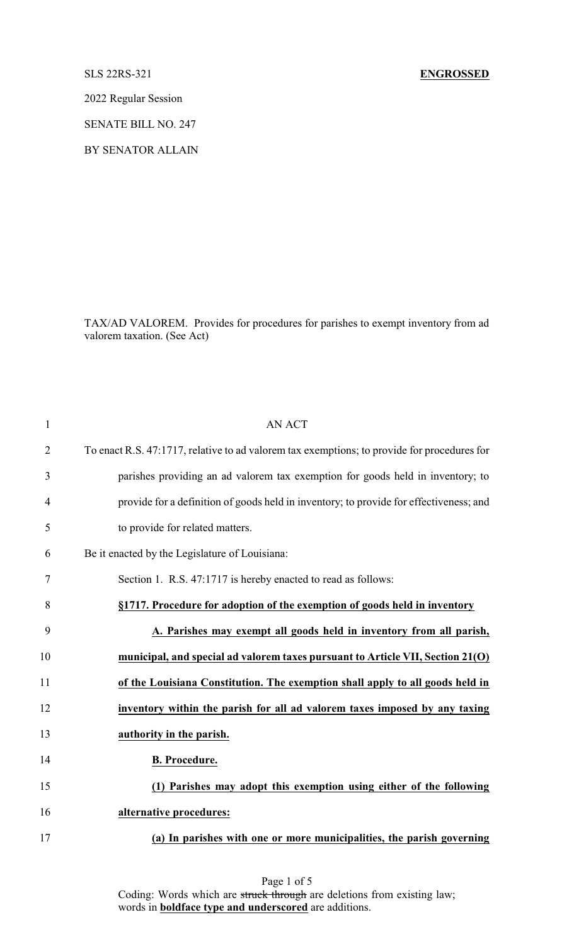2022 Regular Session

SENATE BILL NO. 247

BY SENATOR ALLAIN

TAX/AD VALOREM. Provides for procedures for parishes to exempt inventory from ad valorem taxation. (See Act)

| $\mathbf{1}$   | <b>AN ACT</b>                                                                               |
|----------------|---------------------------------------------------------------------------------------------|
| $\overline{2}$ | To enact R.S. 47:1717, relative to ad valorem tax exemptions; to provide for procedures for |
| 3              | parishes providing an ad valorem tax exemption for goods held in inventory; to              |
| $\overline{4}$ | provide for a definition of goods held in inventory; to provide for effectiveness; and      |
| 5              | to provide for related matters.                                                             |
| 6              | Be it enacted by the Legislature of Louisiana:                                              |
| 7              | Section 1. R.S. 47:1717 is hereby enacted to read as follows:                               |
| 8              | §1717. Procedure for adoption of the exemption of goods held in inventory                   |
| 9              | A. Parishes may exempt all goods held in inventory from all parish,                         |
| 10             | municipal, and special ad valorem taxes pursuant to Article VII, Section 21(O)              |
| 11             | of the Louisiana Constitution. The exemption shall apply to all goods held in               |
| 12             | inventory within the parish for all ad valorem taxes imposed by any taxing                  |
| 13             | authority in the parish.                                                                    |
| 14             | <b>B.</b> Procedure.                                                                        |
| 15             | (1) Parishes may adopt this exemption using either of the following                         |
| 16             | alternative procedures:                                                                     |
| 17             | (a) In parishes with one or more municipalities, the parish governing                       |
|                |                                                                                             |

Page 1 of 5 Coding: Words which are struck through are deletions from existing law; words in **boldface type and underscored** are additions.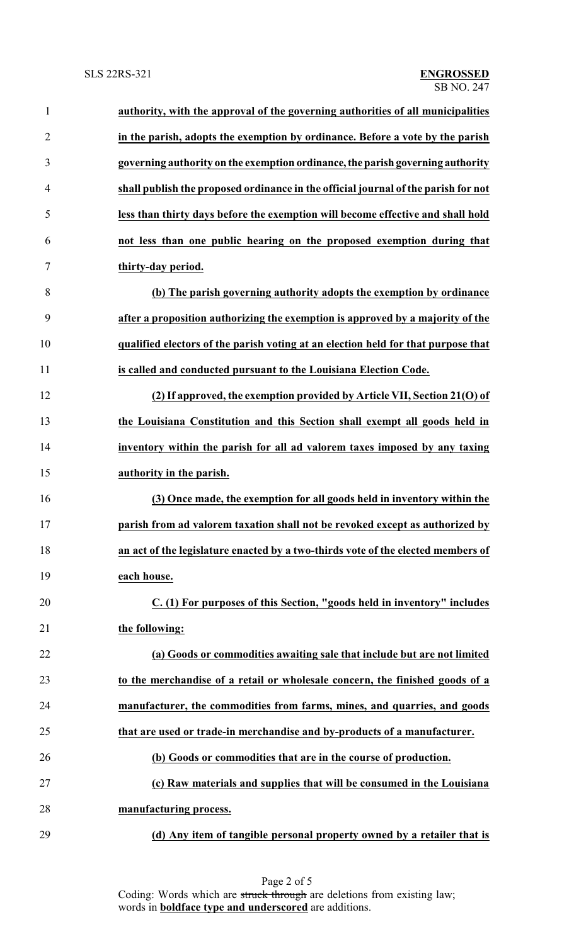| $\mathbf{1}$   | authority, with the approval of the governing authorities of all municipalities    |
|----------------|------------------------------------------------------------------------------------|
| $\overline{2}$ | in the parish, adopts the exemption by ordinance. Before a vote by the parish      |
| 3              | governing authority on the exemption ordinance, the parish governing authority     |
| 4              | shall publish the proposed ordinance in the official journal of the parish for not |
| 5              | less than thirty days before the exemption will become effective and shall hold    |
| 6              | not less than one public hearing on the proposed exemption during that             |
| 7              | thirty-day period.                                                                 |
| 8              | (b) The parish governing authority adopts the exemption by ordinance               |
| 9              | after a proposition authorizing the exemption is approved by a majority of the     |
| 10             | qualified electors of the parish voting at an election held for that purpose that  |
| 11             | is called and conducted pursuant to the Louisiana Election Code.                   |
| 12             | (2) If approved, the exemption provided by Article VII, Section 21(O) of           |
| 13             | the Louisiana Constitution and this Section shall exempt all goods held in         |
| 14             | inventory within the parish for all ad valorem taxes imposed by any taxing         |
| 15             | authority in the parish.                                                           |
| 16             | (3) Once made, the exemption for all goods held in inventory within the            |
| 17             | parish from ad valorem taxation shall not be revoked except as authorized by       |
| 18             | an act of the legislature enacted by a two-thirds vote of the elected members of   |
| 19             | each house.                                                                        |
| 20             | $C.$ (1) For purposes of this Section, "goods held in inventory" includes          |
| 21             | the following:                                                                     |
| 22             | (a) Goods or commodities awaiting sale that include but are not limited            |
| 23             | to the merchandise of a retail or wholesale concern, the finished goods of a       |
| 24             | manufacturer, the commodities from farms, mines, and quarries, and goods           |
| 25             | that are used or trade-in merchandise and by-products of a manufacturer.           |
| 26             | (b) Goods or commodities that are in the course of production.                     |
| 27             | (c) Raw materials and supplies that will be consumed in the Louisiana              |
| 28             | manufacturing process.                                                             |
| 29             | (d) Any item of tangible personal property owned by a retailer that is             |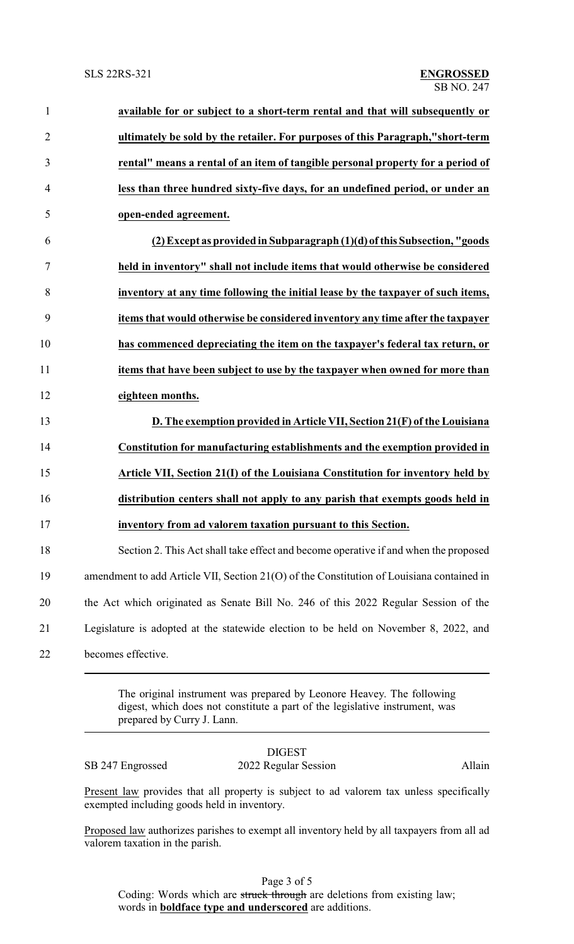| $\mathbf{1}$   | available for or subject to a short-term rental and that will subsequently or             |
|----------------|-------------------------------------------------------------------------------------------|
| $\overline{2}$ | ultimately be sold by the retailer. For purposes of this Paragraph,"short-term            |
| 3              | rental" means a rental of an item of tangible personal property for a period of           |
| 4              | less than three hundred sixty-five days, for an undefined period, or under an             |
| 5              | open-ended agreement.                                                                     |
| 6              | (2) Except as provided in Subparagraph (1)(d) of this Subsection, "goods                  |
| 7              | held in inventory" shall not include items that would otherwise be considered             |
| 8              | inventory at any time following the initial lease by the taxpayer of such items,          |
| 9              | items that would otherwise be considered inventory any time after the taxpayer            |
| 10             | has commenced depreciating the item on the taxpayer's federal tax return, or              |
| 11             | items that have been subject to use by the taxpayer when owned for more than              |
| 12             | eighteen months.                                                                          |
| 13             | D. The exemption provided in Article VII, Section 21(F) of the Louisiana                  |
| 14             | Constitution for manufacturing establishments and the exemption provided in               |
| 15             | Article VII, Section 21(I) of the Louisiana Constitution for inventory held by            |
| 16             | distribution centers shall not apply to any parish that exempts goods held in             |
| 17             | inventory from ad valorem taxation pursuant to this Section.                              |
| 18             | Section 2. This Act shall take effect and become operative if and when the proposed       |
| 19             | amendment to add Article VII, Section 21(O) of the Constitution of Louisiana contained in |
| 20             | the Act which originated as Senate Bill No. 246 of this 2022 Regular Session of the       |
| 21             | Legislature is adopted at the statewide election to be held on November 8, 2022, and      |
| 22             | becomes effective.                                                                        |
|                |                                                                                           |

The original instrument was prepared by Leonore Heavey. The following digest, which does not constitute a part of the legislative instrument, was prepared by Curry J. Lann.

|                  | <b>DIGEST</b>        |        |
|------------------|----------------------|--------|
| SB 247 Engrossed | 2022 Regular Session | Allain |

Present law provides that all property is subject to ad valorem tax unless specifically exempted including goods held in inventory.

Proposed law authorizes parishes to exempt all inventory held by all taxpayers from all ad valorem taxation in the parish.

Page 3 of 5 Coding: Words which are struck through are deletions from existing law; words in **boldface type and underscored** are additions.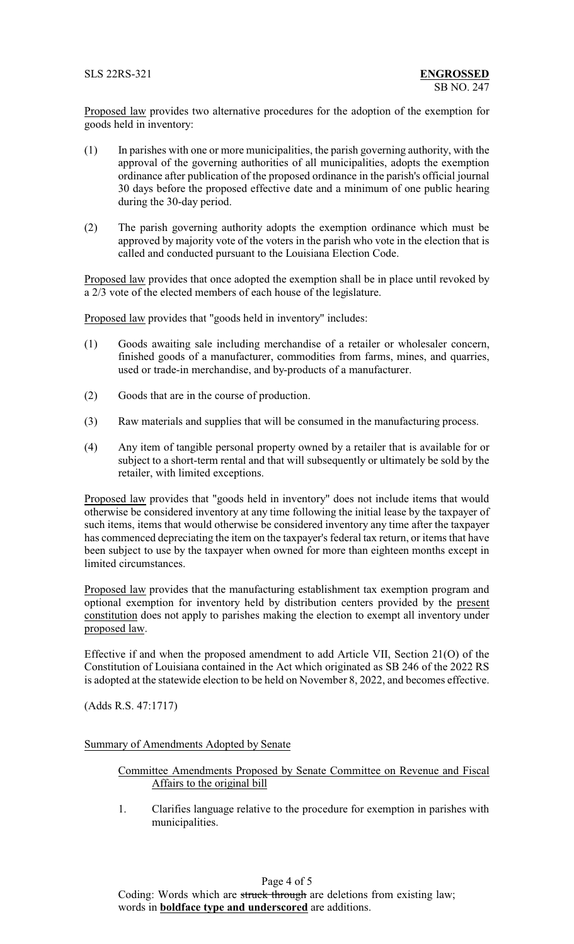Proposed law provides two alternative procedures for the adoption of the exemption for goods held in inventory:

- (1) In parishes with one or more municipalities, the parish governing authority, with the approval of the governing authorities of all municipalities, adopts the exemption ordinance after publication of the proposed ordinance in the parish's official journal 30 days before the proposed effective date and a minimum of one public hearing during the 30-day period.
- (2) The parish governing authority adopts the exemption ordinance which must be approved by majority vote of the voters in the parish who vote in the election that is called and conducted pursuant to the Louisiana Election Code.

Proposed law provides that once adopted the exemption shall be in place until revoked by a 2/3 vote of the elected members of each house of the legislature.

Proposed law provides that "goods held in inventory" includes:

- (1) Goods awaiting sale including merchandise of a retailer or wholesaler concern, finished goods of a manufacturer, commodities from farms, mines, and quarries, used or trade-in merchandise, and by-products of a manufacturer.
- (2) Goods that are in the course of production.
- (3) Raw materials and supplies that will be consumed in the manufacturing process.
- (4) Any item of tangible personal property owned by a retailer that is available for or subject to a short-term rental and that will subsequently or ultimately be sold by the retailer, with limited exceptions.

Proposed law provides that "goods held in inventory" does not include items that would otherwise be considered inventory at any time following the initial lease by the taxpayer of such items, items that would otherwise be considered inventory any time after the taxpayer has commenced depreciating the item on the taxpayer's federal tax return, or items that have been subject to use by the taxpayer when owned for more than eighteen months except in limited circumstances.

Proposed law provides that the manufacturing establishment tax exemption program and optional exemption for inventory held by distribution centers provided by the present constitution does not apply to parishes making the election to exempt all inventory under proposed law.

Effective if and when the proposed amendment to add Article VII, Section 21(O) of the Constitution of Louisiana contained in the Act which originated as SB 246 of the 2022 RS is adopted at the statewide election to be held on November 8, 2022, and becomes effective.

(Adds R.S. 47:1717)

## Summary of Amendments Adopted by Senate

Committee Amendments Proposed by Senate Committee on Revenue and Fiscal Affairs to the original bill

1. Clarifies language relative to the procedure for exemption in parishes with municipalities.

## Page 4 of 5

Coding: Words which are struck through are deletions from existing law; words in **boldface type and underscored** are additions.